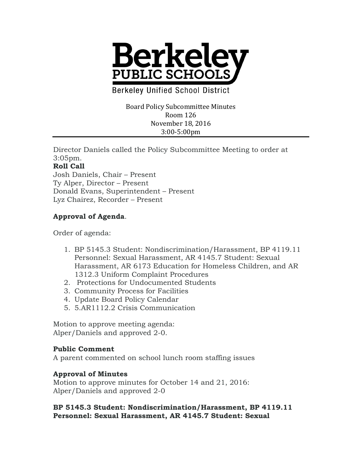

**Berkeley Unified School District** 

Board Policy Subcommittee Minutes Room 126 November 18, 2016 3:00-5:00pm

Director Daniels called the Policy Subcommittee Meeting to order at 3:05pm.

## **Roll Call**

Josh Daniels, Chair – Present Ty Alper, Director – Present Donald Evans, Superintendent – Present Lyz Chairez, Recorder – Present

# **Approval of Agenda**.

Order of agenda:

- 1. BP 5145.3 Student: Nondiscrimination/Harassment, BP 4119.11 Personnel: Sexual Harassment, AR 4145.7 Student: Sexual Harassment, AR 6173 Education for Homeless Children, and AR 1312.3 Uniform Complaint Procedures
- 2. Protections for Undocumented Students
- 3. Community Process for Facilities
- 4. Update Board Policy Calendar
- 5. 5.AR1112.2 Crisis Communication

Motion to approve meeting agenda: Alper/Daniels and approved 2-0.

### **Public Comment**

A parent commented on school lunch room staffing issues

### **Approval of Minutes**

Motion to approve minutes for October 14 and 21, 2016: Alper/Daniels and approved 2-0

### **BP 5145.3 Student: Nondiscrimination/Harassment, BP 4119.11 Personnel: Sexual Harassment, AR 4145.7 Student: Sexual**